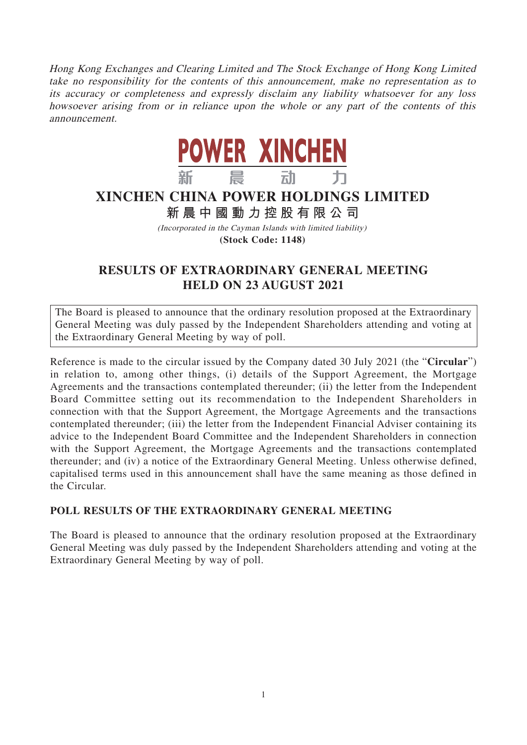Hong Kong Exchanges and Clearing Limited and The Stock Exchange of Hong Kong Limited take no responsibility for the contents of this announcement, make no representation as to its accuracy or completeness and expressly disclaim any liability whatsoever for any loss howsoever arising from or in reliance upon the whole or any part of the contents of this announcement.



## **XINCHEN CHINA POWER HOLDINGS LIMITED**

## **新晨中國動力控股有限公 司**

(Incorporated in the Cayman Islands with limited liability) **(Stock Code: 1148)**

## **RESULTS OF EXTRAORDINARY GENERAL MEETING HELD ON 23 AUGUST 2021**

The Board is pleased to announce that the ordinary resolution proposed at the Extraordinary General Meeting was duly passed by the Independent Shareholders attending and voting at the Extraordinary General Meeting by way of poll.

Reference is made to the circular issued by the Company dated 30 July 2021 (the "**Circular**") in relation to, among other things, (i) details of the Support Agreement, the Mortgage Agreements and the transactions contemplated thereunder; (ii) the letter from the Independent Board Committee setting out its recommendation to the Independent Shareholders in connection with that the Support Agreement, the Mortgage Agreements and the transactions contemplated thereunder; (iii) the letter from the Independent Financial Adviser containing its advice to the Independent Board Committee and the Independent Shareholders in connection with the Support Agreement, the Mortgage Agreements and the transactions contemplated thereunder; and (iv) a notice of the Extraordinary General Meeting. Unless otherwise defined, capitalised terms used in this announcement shall have the same meaning as those defined in the Circular.

## **POLL RESULTS OF THE EXTRAORDINARY GENERAL MEETING**

The Board is pleased to announce that the ordinary resolution proposed at the Extraordinary General Meeting was duly passed by the Independent Shareholders attending and voting at the Extraordinary General Meeting by way of poll.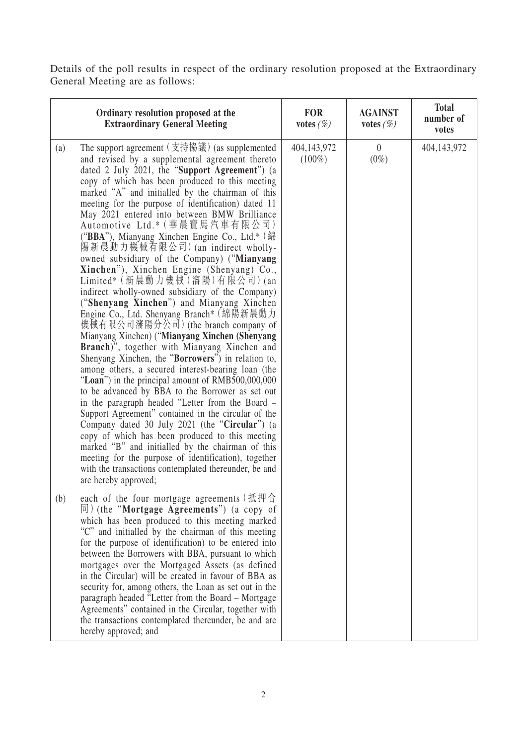Details of the poll results in respect of the ordinary resolution proposed at the Extraordinary General Meeting are as follows:

| Ordinary resolution proposed at the<br><b>Extraordinary General Meeting</b>                                                                                                                                                                                                                                                                                                                                                                                                                                                                                                                                                                                                                                                                                                                                                                                                                                                                                                                                                                                                                                                                                                                                                                                                                                                                                                                                                                                                                                                                                                                                            | <b>FOR</b><br>votes $(\%)$ | <b>AGAINST</b><br>votes $(\%)$ | <b>Total</b><br>number of<br>votes |
|------------------------------------------------------------------------------------------------------------------------------------------------------------------------------------------------------------------------------------------------------------------------------------------------------------------------------------------------------------------------------------------------------------------------------------------------------------------------------------------------------------------------------------------------------------------------------------------------------------------------------------------------------------------------------------------------------------------------------------------------------------------------------------------------------------------------------------------------------------------------------------------------------------------------------------------------------------------------------------------------------------------------------------------------------------------------------------------------------------------------------------------------------------------------------------------------------------------------------------------------------------------------------------------------------------------------------------------------------------------------------------------------------------------------------------------------------------------------------------------------------------------------------------------------------------------------------------------------------------------------|----------------------------|--------------------------------|------------------------------------|
| The support agreement $(\nabla \ddot{\hat{\sigma}}\ddot{\hat{\sigma}}\ddot{\hat{\sigma}})$ (as supplemented<br>(a)<br>and revised by a supplemental agreement thereto<br>dated 2 July 2021, the "Support Agreement") (a<br>copy of which has been produced to this meeting<br>marked "A" and initialled by the chairman of this<br>meeting for the purpose of identification) dated 11<br>May 2021 entered into between BMW Brilliance<br>Automotive Ltd.* (華晨寶馬汽車有限公司)<br>("BBA"), Mianyang Xinchen Engine Co., Ltd.* (綿<br>陽新晨動力機械有限公司) (an indirect wholly-<br>owned subsidiary of the Company) ("Mianyang<br>Xinchen"), Xinchen Engine (Shenyang) Co.,<br>Limited* (新晨動力機械 (瀋陽)有限公司) (an<br>indirect wholly-owned subsidiary of the Company)<br>("Shenyang Xinchen") and Mianyang Xinchen<br>Engine Co., Ltd. Shenyang Branch* (綿陽新晨動力<br>機械有限公司瀋陽分公司) (the branch company of<br>Mianyang Xinchen) ("Mianyang Xinchen (Shenyang<br>Branch)", together with Mianyang Xinchen and<br>Shenyang Xinchen, the "Borrowers") in relation to,<br>among others, a secured interest-bearing loan (the<br>"Loan") in the principal amount of RMB500,000,000<br>to be advanced by BBA to the Borrower as set out<br>in the paragraph headed "Letter from the Board -<br>Support Agreement" contained in the circular of the<br>Company dated 30 July 2021 (the "Circular") (a<br>copy of which has been produced to this meeting<br>marked "B" and initialled by the chairman of this<br>meeting for the purpose of identification), together<br>with the transactions contemplated thereunder, be and<br>are hereby approved; | 404,143,972<br>$(100\%)$   | $\overline{0}$<br>$(0\%)$      | 404,143,972                        |
| each of the four mortgage agreements (抵押合<br>(b)<br>$\vert \overline{p} \vert$ (the "Mortgage Agreements") (a copy of<br>which has been produced to this meeting marked<br>"C" and initialled by the chairman of this meeting<br>for the purpose of identification) to be entered into<br>between the Borrowers with BBA, pursuant to which<br>mortgages over the Mortgaged Assets (as defined<br>in the Circular) will be created in favour of BBA as<br>security for, among others, the Loan as set out in the<br>paragraph headed "Letter from the Board – Mortgage<br>Agreements" contained in the Circular, together with<br>the transactions contemplated thereunder, be and are<br>hereby approved; and                                                                                                                                                                                                                                                                                                                                                                                                                                                                                                                                                                                                                                                                                                                                                                                                                                                                                                         |                            |                                |                                    |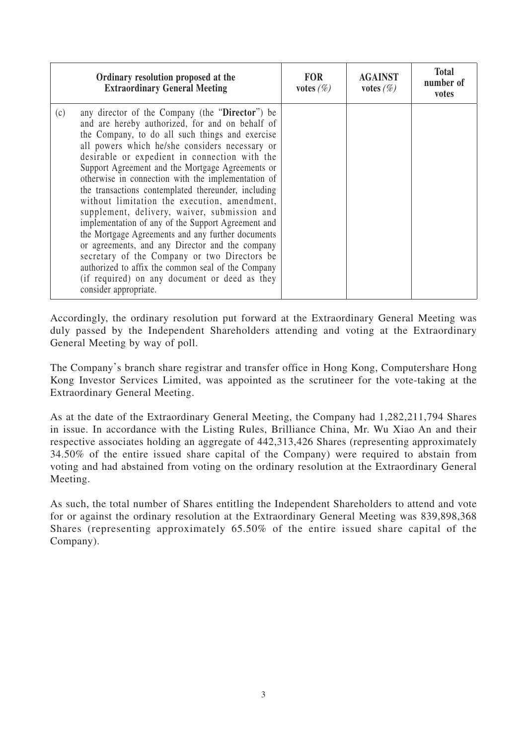| Ordinary resolution proposed at the<br><b>Extraordinary General Meeting</b>                                                                                                                                                                                                                                                                                                                                                                                                                                                                                                                                                                                                                                                                                                                                                                                                    | <b>FOR</b><br>votes $(\%)$ | <b>AGAINST</b><br>votes $(\%)$ | <b>Total</b><br>number of<br>votes |
|--------------------------------------------------------------------------------------------------------------------------------------------------------------------------------------------------------------------------------------------------------------------------------------------------------------------------------------------------------------------------------------------------------------------------------------------------------------------------------------------------------------------------------------------------------------------------------------------------------------------------------------------------------------------------------------------------------------------------------------------------------------------------------------------------------------------------------------------------------------------------------|----------------------------|--------------------------------|------------------------------------|
| (c)<br>any director of the Company (the "Director") be<br>and are hereby authorized, for and on behalf of<br>the Company, to do all such things and exercise<br>all powers which he/she considers necessary or<br>desirable or expedient in connection with the<br>Support Agreement and the Mortgage Agreements or<br>otherwise in connection with the implementation of<br>the transactions contemplated thereunder, including<br>without limitation the execution, amendment,<br>supplement, delivery, waiver, submission and<br>implementation of any of the Support Agreement and<br>the Mortgage Agreements and any further documents<br>or agreements, and any Director and the company<br>secretary of the Company or two Directors be<br>authorized to affix the common seal of the Company<br>(if required) on any document or deed as they<br>consider appropriate. |                            |                                |                                    |

Accordingly, the ordinary resolution put forward at the Extraordinary General Meeting was duly passed by the Independent Shareholders attending and voting at the Extraordinary General Meeting by way of poll.

The Company's branch share registrar and transfer office in Hong Kong, Computershare Hong Kong Investor Services Limited, was appointed as the scrutineer for the vote-taking at the Extraordinary General Meeting.

As at the date of the Extraordinary General Meeting, the Company had 1,282,211,794 Shares in issue. In accordance with the Listing Rules, Brilliance China, Mr. Wu Xiao An and their respective associates holding an aggregate of 442,313,426 Shares (representing approximately 34.50% of the entire issued share capital of the Company) were required to abstain from voting and had abstained from voting on the ordinary resolution at the Extraordinary General Meeting.

As such, the total number of Shares entitling the Independent Shareholders to attend and vote for or against the ordinary resolution at the Extraordinary General Meeting was 839,898,368 Shares (representing approximately 65.50% of the entire issued share capital of the Company).